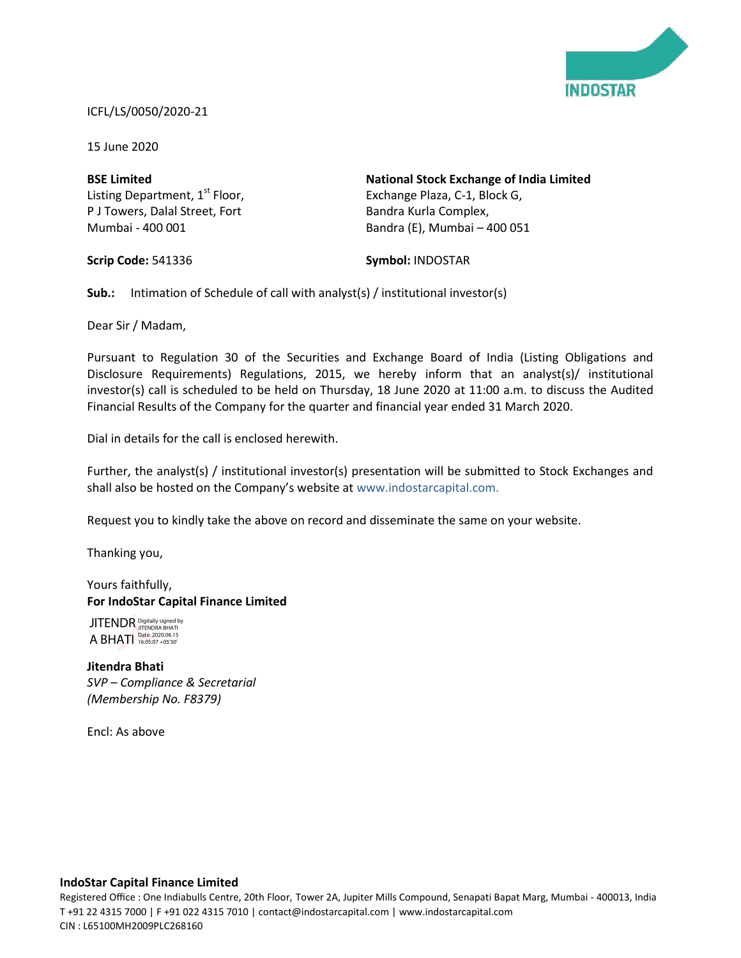

#### ICFL/LS/0050/2020-21

15 June 2020

**BSE Limited** Listing Department,  $1<sup>st</sup>$  Floor, P J Towers, Dalal Street, Fort Mumbai - 400 001

**National Stock Exchange of India Limited** Exchange Plaza, C-1, Block G, Bandra Kurla Complex, Bandra (E), Mumbai – 400 051

**Scrip Code:** 541336

**Symbol:** INDOSTAR

**Sub.:** Intimation of Schedule of call with analyst(s) / institutional investor(s)

Dear Sir / Madam,

Pursuant to Regulation 30 of the Securities and Exchange Board of India (Listing Obligations and Disclosure Requirements) Regulations, 2015, we hereby inform that an analyst(s)/ institutional investor(s) call is scheduled to be held on Thursday, 18 June 2020 at 11:00 a.m. to discuss the Audited Financial Results of the Company for the quarter and financial year ended 31 March 2020.

Dial in details for the call is enclosed herewith.

Further, the analyst(s) / institutional investor(s) presentation will be submitted to Stock Exchanges and shall also be hosted on the Company's website at www.indostarcapital.com.

Request you to kindly take the above on record and disseminate the same on your website.

Thanking you,

Yours faithfully, **For IndoStar Capital Finance Limited**

A BHATI Digitally signed by JITENDRA BHATI Date: 2020.06.15 16:05:07 +05'30'

**Jitendra Bhati** *SVP – Compliance & Secretarial (Membership No. F8379)*

Encl: As above

#### **IndoStar Capital Finance Limited**

Registered Office : One Indiabulls Centre, 20th Floor, Tower 2A, Jupiter Mills Compound, Senapati Bapat Marg, Mumbai - 400013, India T +91 22 4315 7000 | F +91 022 4315 7010 | contact@indostarcapital.com | www.indostarcapital.com JITENDR JITENDR Brightly signed by<br>
A BHATI Date: 2020.06.15<br> **Jitendra Bhati**<br>
SVP — Compliance & S<br>
(Membership No. F83<br>
Encl: As above<br>
IndoStar Capital Finance L<br>
Registered Office : One Indiabull<br>
T +91 22 4315 7000 |